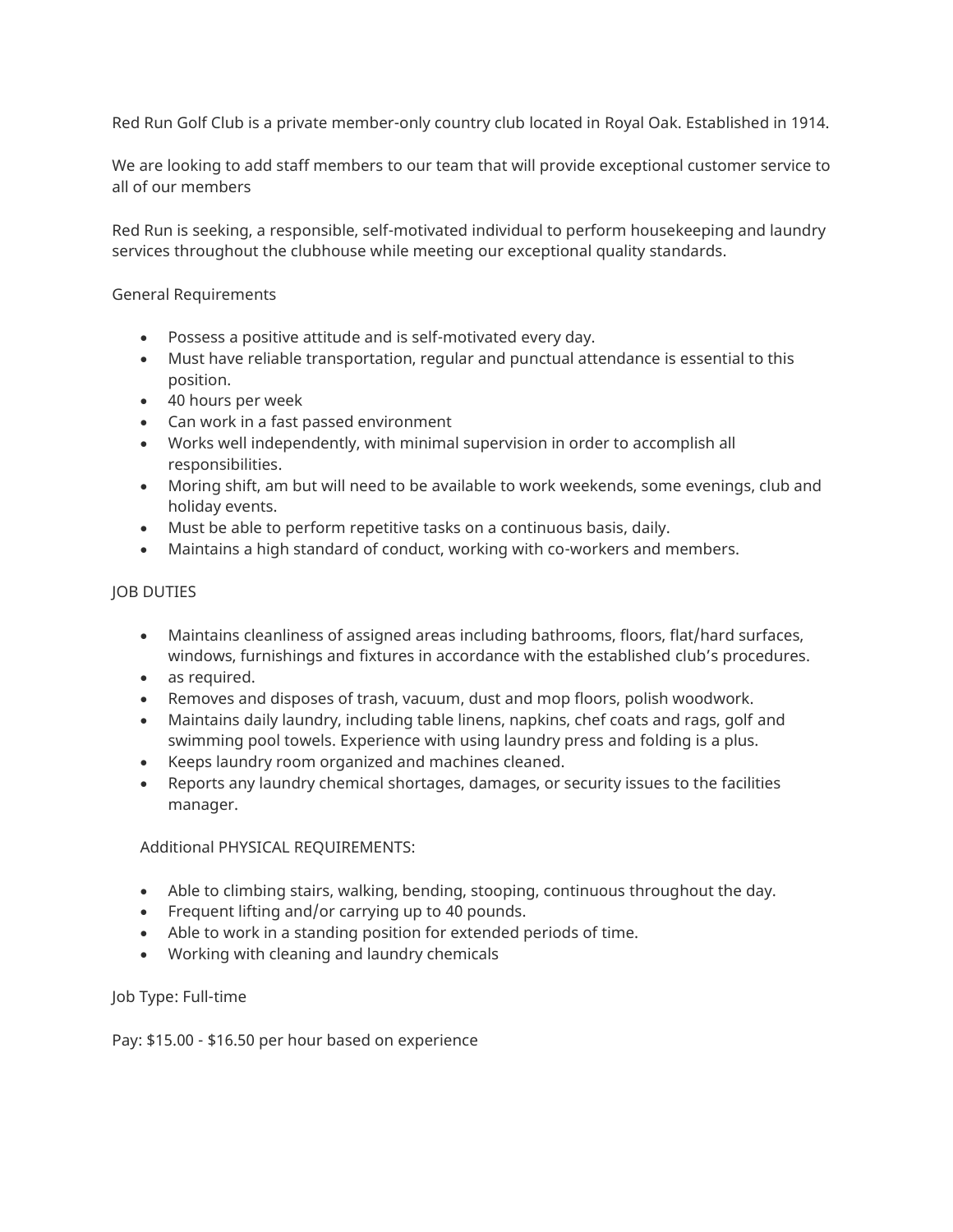Red Run Golf Club is a private member-only country club located in Royal Oak. Established in 1914.

We are looking to add staff members to our team that will provide exceptional customer service to all of our members

Red Run is seeking, a responsible, self-motivated individual to perform housekeeping and laundry services throughout the clubhouse while meeting our exceptional quality standards.

### General Requirements

- Possess a positive attitude and is self-motivated every day.
- Must have reliable transportation, regular and punctual attendance is essential to this position.
- 40 hours per week
- Can work in a fast passed environment
- Works well independently, with minimal supervision in order to accomplish all responsibilities.
- Moring shift, am but will need to be available to work weekends, some evenings, club and holiday events.
- Must be able to perform repetitive tasks on a continuous basis, daily.
- Maintains a high standard of conduct, working with co-workers and members.

## JOB DUTIES

- Maintains cleanliness of assigned areas including bathrooms, floors, flat/hard surfaces, windows, furnishings and fixtures in accordance with the established club's procedures.
- as required.
- Removes and disposes of trash, vacuum, dust and mop floors, polish woodwork.
- Maintains daily laundry, including table linens, napkins, chef coats and rags, golf and swimming pool towels. Experience with using laundry press and folding is a plus.
- Keeps laundry room organized and machines cleaned.
- Reports any laundry chemical shortages, damages, or security issues to the facilities manager.

Additional PHYSICAL REQUIREMENTS:

- Able to climbing stairs, walking, bending, stooping, continuous throughout the day.
- Frequent lifting and/or carrying up to 40 pounds.
- Able to work in a standing position for extended periods of time.
- Working with cleaning and laundry chemicals

### Job Type: Full-time

Pay: \$15.00 - \$16.50 per hour based on experience